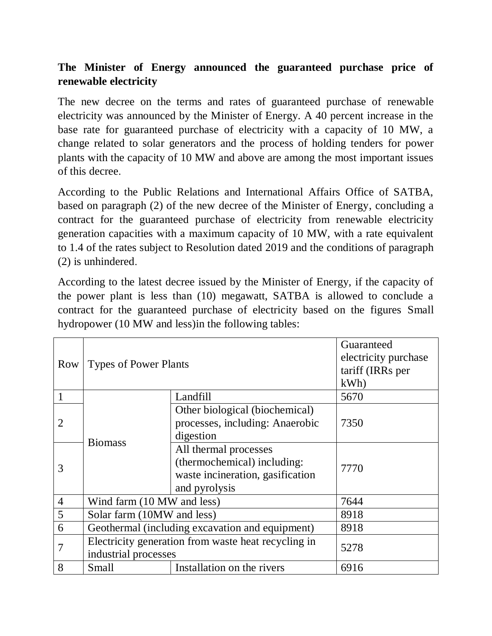## **The Minister of Energy announced the guaranteed purchase price of renewable electricity**

The new decree on the terms and rates of guaranteed purchase of renewable electricity was announced by the Minister of Energy. A 40 percent increase in the base rate for guaranteed purchase of electricity with a capacity of 10 MW, a change related to solar generators and the process of holding tenders for power plants with the capacity of 10 MW and above are among the most important issues of this decree.

According to the Public Relations and International Affairs Office of SATBA, based on paragraph (2) of the new decree of the Minister of Energy, concluding a contract for the guaranteed purchase of electricity from renewable electricity generation capacities with a maximum capacity of 10 MW, with a rate equivalent to 1.4 of the rates subject to Resolution dated 2019 and the conditions of paragraph (2) is unhindered.

According to the latest decree issued by the Minister of Energy, if the capacity of the power plant is less than (10) megawatt, SATBA is allowed to conclude a contract for the guaranteed purchase of electricity based on the figures Small hydropower (10 MW and less)in the following tables:

| Row            | <b>Types of Power Plants</b>                                                |                                                                                                           | Guaranteed<br>electricity purchase<br>tariff (IRRs per<br>kWh |
|----------------|-----------------------------------------------------------------------------|-----------------------------------------------------------------------------------------------------------|---------------------------------------------------------------|
|                | <b>Biomass</b>                                                              | Landfill                                                                                                  | 5670                                                          |
| $\overline{2}$ |                                                                             | Other biological (biochemical)<br>processes, including: Anaerobic<br>digestion                            | 7350                                                          |
| 3              |                                                                             | All thermal processes<br>(thermochemical) including:<br>waste incineration, gasification<br>and pyrolysis | 7770                                                          |
| $\overline{4}$ | Wind farm (10 MW and less)                                                  |                                                                                                           | 7644                                                          |
| 5              | Solar farm (10MW and less)                                                  |                                                                                                           | 8918                                                          |
| 6              | Geothermal (including excavation and equipment)                             |                                                                                                           | 8918                                                          |
|                | Electricity generation from waste heat recycling in<br>industrial processes |                                                                                                           | 5278                                                          |
| 8              | Small                                                                       | Installation on the rivers                                                                                | 6916                                                          |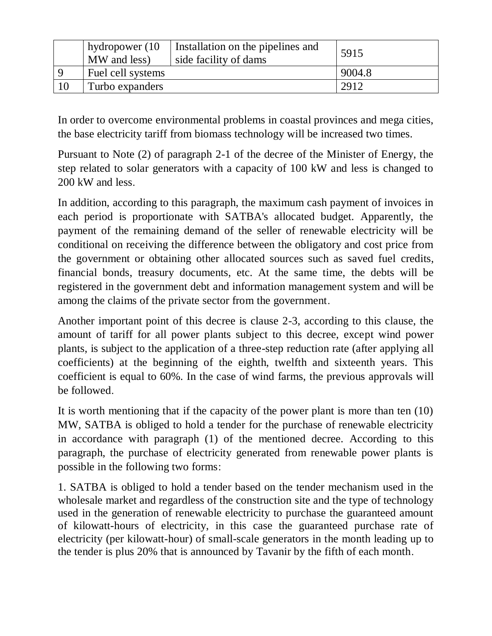|     | hydropower (10<br>MW and less) | Installation on the pipelines and<br>side facility of dams | 5915   |
|-----|--------------------------------|------------------------------------------------------------|--------|
| - Q | Fuel cell systems              |                                                            | 9004.8 |
|     | Turbo expanders                |                                                            | 2912   |

In order to overcome environmental problems in coastal provinces and mega cities, the base electricity tariff from biomass technology will be increased two times.

Pursuant to Note (2) of paragraph 2-1 of the decree of the Minister of Energy, the step related to solar generators with a capacity of 100 kW and less is changed to 200 kW and less.

In addition, according to this paragraph, the maximum cash payment of invoices in each period is proportionate with SATBA's allocated budget. Apparently, the payment of the remaining demand of the seller of renewable electricity will be conditional on receiving the difference between the obligatory and cost price from the government or obtaining other allocated sources such as saved fuel credits, financial bonds, treasury documents, etc. At the same time, the debts will be registered in the government debt and information management system and will be among the claims of the private sector from the government.

Another important point of this decree is clause 2-3, according to this clause, the amount of tariff for all power plants subject to this decree, except wind power plants, is subject to the application of a three-step reduction rate (after applying all coefficients) at the beginning of the eighth, twelfth and sixteenth years. This coefficient is equal to 60%. In the case of wind farms, the previous approvals will be followed.

It is worth mentioning that if the capacity of the power plant is more than ten (10) MW, SATBA is obliged to hold a tender for the purchase of renewable electricity in accordance with paragraph (1) of the mentioned decree. According to this paragraph, the purchase of electricity generated from renewable power plants is possible in the following two forms:

1. SATBA is obliged to hold a tender based on the tender mechanism used in the wholesale market and regardless of the construction site and the type of technology used in the generation of renewable electricity to purchase the guaranteed amount of kilowatt-hours of electricity, in this case the guaranteed purchase rate of electricity (per kilowatt-hour) of small-scale generators in the month leading up to the tender is plus 20% that is announced by Tavanir by the fifth of each month.